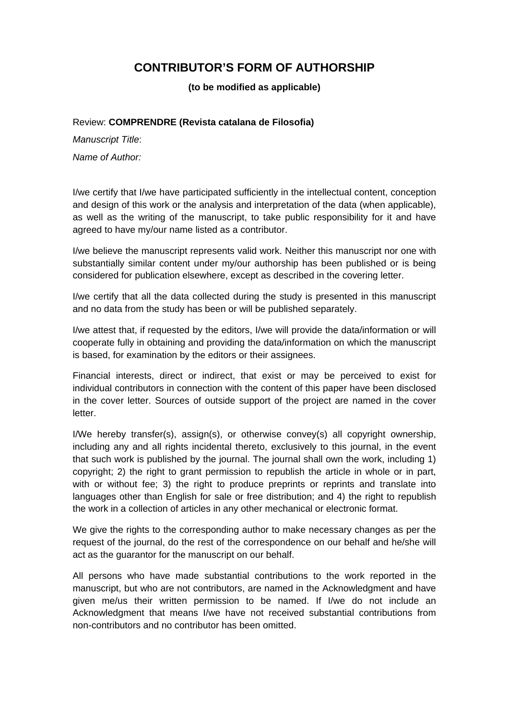## **CONTRIBUTOR'S FORM OF AUTHORSHIP**

## **(to be modified as applicable)**

## Review: **COMPRENDRE (Revista catalana de Filosofia)**

*Manuscript Title*: *Name of Author:*

I/we certify that I/we have participated sufficiently in the intellectual content, conception and design of this work or the analysis and interpretation of the data (when applicable), as well as the writing of the manuscript, to take public responsibility for it and have agreed to have my/our name listed as a contributor.

I/we believe the manuscript represents valid work. Neither this manuscript nor one with substantially similar content under my/our authorship has been published or is being considered for publication elsewhere, except as described in the covering letter.

I/we certify that all the data collected during the study is presented in this manuscript and no data from the study has been or will be published separately.

I/we attest that, if requested by the editors, I/we will provide the data/information or will cooperate fully in obtaining and providing the data/information on which the manuscript is based, for examination by the editors or their assignees.

Financial interests, direct or indirect, that exist or may be perceived to exist for individual contributors in connection with the content of this paper have been disclosed in the cover letter. Sources of outside support of the project are named in the cover letter.

I/We hereby transfer(s), assign(s), or otherwise convey(s) all copyright ownership, including any and all rights incidental thereto, exclusively to this journal, in the event that such work is published by the journal. The journal shall own the work, including 1) copyright; 2) the right to grant permission to republish the article in whole or in part, with or without fee; 3) the right to produce preprints or reprints and translate into languages other than English for sale or free distribution; and 4) the right to republish the work in a collection of articles in any other mechanical or electronic format.

We give the rights to the corresponding author to make necessary changes as per the request of the journal, do the rest of the correspondence on our behalf and he/she will act as the guarantor for the manuscript on our behalf.

All persons who have made substantial contributions to the work reported in the manuscript, but who are not contributors, are named in the Acknowledgment and have given me/us their written permission to be named. If I/we do not include an Acknowledgment that means I/we have not received substantial contributions from non-contributors and no contributor has been omitted.